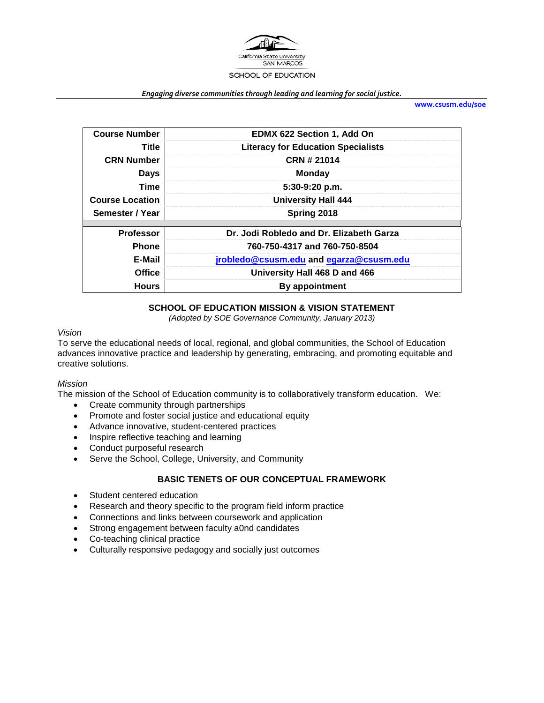

#### *Engaging diverse communities through leading and learning for social justice.*

**[www.csusm.edu/soe](http://www.csusm.edu/soe)**

| <b>Course Number</b>   | <b>EDMX 622 Section 1, Add On</b>         |
|------------------------|-------------------------------------------|
| Title                  | <b>Literacy for Education Specialists</b> |
| <b>CRN Number</b>      | CRN # 21014                               |
| <b>Days</b>            | <b>Monday</b>                             |
| Time                   | 5:30-9:20 p.m.                            |
| <b>Course Location</b> | <b>University Hall 444</b>                |
| Semester / Year        | Spring 2018                               |
|                        |                                           |
| <b>Professor</b>       | Dr. Jodi Robledo and Dr. Elizabeth Garza  |
| <b>Phone</b>           | 760-750-4317 and 760-750-8504             |
| E-Mail                 | jrobledo@csusm.edu and egarza@csusm.edu   |
| <b>Office</b>          | University Hall 468 D and 466             |
| <b>Hours</b>           | By appointment                            |

### **SCHOOL OF EDUCATION MISSION & VISION STATEMENT**

*(Adopted by SOE Governance Community, January 2013)*

### *Vision*

To serve the educational needs of local, regional, and global communities, the School of Education advances innovative practice and leadership by generating, embracing, and promoting equitable and creative solutions.

### *Mission*

The mission of the School of Education community is to collaboratively transform education. We:

- Create community through partnerships
- Promote and foster social justice and educational equity
- Advance innovative, student-centered practices
- Inspire reflective teaching and learning
- Conduct purposeful research
- Serve the School, College, University, and Community

### **BASIC TENETS OF OUR CONCEPTUAL FRAMEWORK**

- Student centered education
- Research and theory specific to the program field inform practice
- Connections and links between coursework and application
- Strong engagement between faculty a0nd candidates
- Co-teaching clinical practice
- Culturally responsive pedagogy and socially just outcomes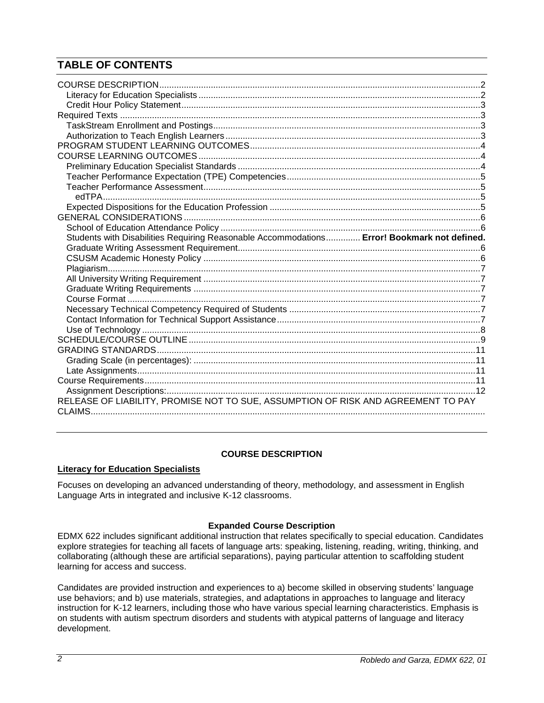# **TABLE OF CONTENTS**

| Students with Disabilities Requiring Reasonable Accommodations Error! Bookmark not defined. |  |
|---------------------------------------------------------------------------------------------|--|
|                                                                                             |  |
|                                                                                             |  |
|                                                                                             |  |
|                                                                                             |  |
|                                                                                             |  |
|                                                                                             |  |
|                                                                                             |  |
|                                                                                             |  |
|                                                                                             |  |
|                                                                                             |  |
|                                                                                             |  |
|                                                                                             |  |
|                                                                                             |  |
|                                                                                             |  |
|                                                                                             |  |
|                                                                                             |  |
| RELEASE OF LIABILITY, PROMISE NOT TO SUE, ASSUMPTION OF RISK AND AGREEMENT TO PAY           |  |

# **COURSE DESCRIPTION**

# <span id="page-1-1"></span><span id="page-1-0"></span>**Literacy for Education Specialists**

Focuses on developing an advanced understanding of theory, methodology, and assessment in English Language Arts in integrated and inclusive K-12 classrooms.

### **Expanded Course Description**

EDMX 622 includes significant additional instruction that relates specifically to special education. Candidates explore strategies for teaching all facets of language arts: speaking, listening, reading, writing, thinking, and collaborating (although these are artificial separations), paying particular attention to scaffolding student learning for access and success.

Candidates are provided instruction and experiences to a) become skilled in observing students' language use behaviors; and b) use materials, strategies, and adaptations in approaches to language and literacy instruction for K-12 learners, including those who have various special learning characteristics. Emphasis is on students with autism spectrum disorders and students with atypical patterns of language and literacy development.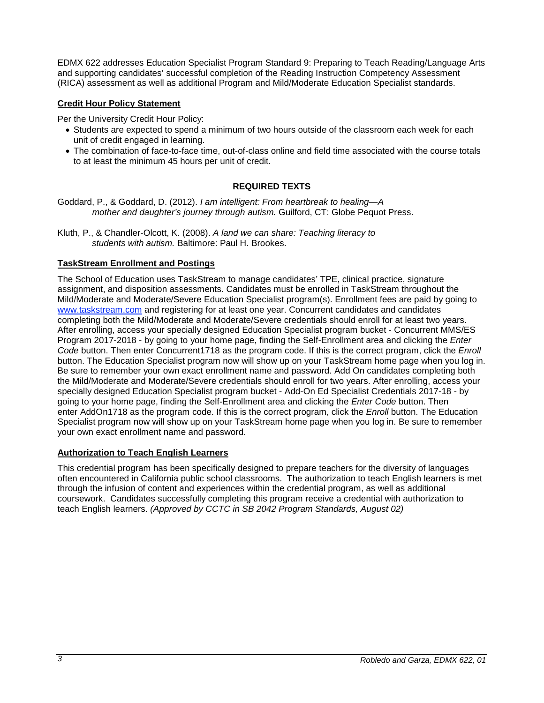EDMX 622 addresses Education Specialist Program Standard 9: Preparing to Teach Reading/Language Arts and supporting candidates' successful completion of the Reading Instruction Competency Assessment (RICA) assessment as well as additional Program and Mild/Moderate Education Specialist standards.

### <span id="page-2-0"></span>**Credit Hour Policy Statement**

Per the University Credit Hour Policy:

- Students are expected to spend a minimum of two hours outside of the classroom each week for each unit of credit engaged in learning.
- The combination of face-to-face time, out-of-class online and field time associated with the course totals to at least the minimum 45 hours per unit of credit.

### **REQUIRED TEXTS**

<span id="page-2-1"></span>Goddard, P., & Goddard, D. (2012). *I am intelligent: From heartbreak to healing—A mother and daughter's journey through autism.* Guilford, CT: Globe Pequot Press.

Kluth, P., & Chandler-Olcott, K. (2008). *A land we can share: Teaching literacy to students with autism.* Baltimore: Paul H. Brookes.

### <span id="page-2-2"></span>**TaskStream Enrollment and Postings**

The School of Education uses TaskStream to manage candidates' TPE, clinical practice, signature assignment, and disposition assessments. Candidates must be enrolled in TaskStream throughout the Mild/Moderate and Moderate/Severe Education Specialist program(s). Enrollment fees are paid by going to [www.taskstream.com](http://www.taskstrem.com/) and registering for at least one year. Concurrent candidates and candidates completing both the Mild/Moderate and Moderate/Severe credentials should enroll for at least two years. After enrolling, access your specially designed Education Specialist program bucket - Concurrent MMS/ES Program 2017-2018 - by going to your home page, finding the Self-Enrollment area and clicking the *Enter Code* button. Then enter Concurrent1718 as the program code. If this is the correct program, click the *Enroll*  button. The Education Specialist program now will show up on your TaskStream home page when you log in. Be sure to remember your own exact enrollment name and password. Add On candidates completing both the Mild/Moderate and Moderate/Severe credentials should enroll for two years. After enrolling, access your specially designed Education Specialist program bucket - Add-On Ed Specialist Credentials 2017-18 - by going to your home page, finding the Self-Enrollment area and clicking the *Enter Code* button. Then enter AddOn1718 as the program code. If this is the correct program, click the *Enroll* button. The Education Specialist program now will show up on your TaskStream home page when you log in. Be sure to remember your own exact enrollment name and password.

#### <span id="page-2-3"></span>**Authorization to Teach English Learners**

This credential program has been specifically designed to prepare teachers for the diversity of languages often encountered in California public school classrooms. The authorization to teach English learners is met through the infusion of content and experiences within the credential program, as well as additional coursework. Candidates successfully completing this program receive a credential with authorization to teach English learners. *(Approved by CCTC in SB 2042 Program Standards, August 02)*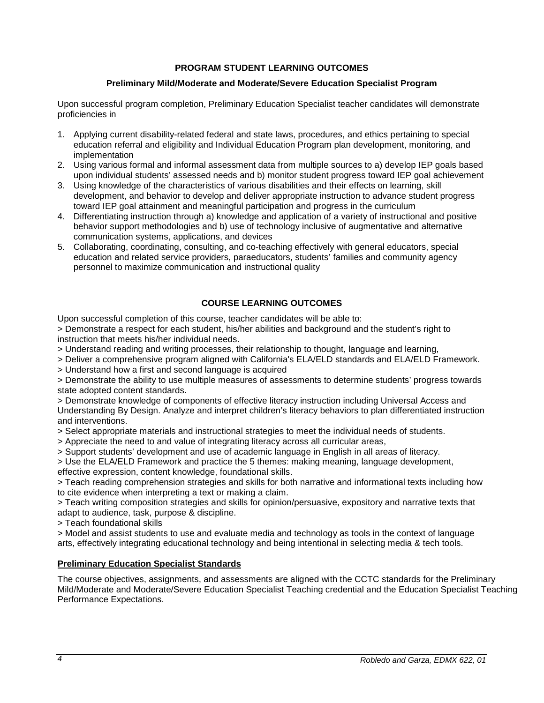### **PROGRAM STUDENT LEARNING OUTCOMES**

### **Preliminary Mild/Moderate and Moderate/Severe Education Specialist Program**

<span id="page-3-0"></span>Upon successful program completion, Preliminary Education Specialist teacher candidates will demonstrate proficiencies in

- 1. Applying current disability-related federal and state laws, procedures, and ethics pertaining to special education referral and eligibility and Individual Education Program plan development, monitoring, and implementation
- 2. Using various formal and informal assessment data from multiple sources to a) develop IEP goals based upon individual students' assessed needs and b) monitor student progress toward IEP goal achievement
- 3. Using knowledge of the characteristics of various disabilities and their effects on learning, skill development, and behavior to develop and deliver appropriate instruction to advance student progress toward IEP goal attainment and meaningful participation and progress in the curriculum
- 4. Differentiating instruction through a) knowledge and application of a variety of instructional and positive behavior support methodologies and b) use of technology inclusive of augmentative and alternative communication systems, applications, and devices
- 5. Collaborating, coordinating, consulting, and co-teaching effectively with general educators, special education and related service providers, paraeducators, students' families and community agency personnel to maximize communication and instructional quality

### **COURSE LEARNING OUTCOMES**

<span id="page-3-1"></span>Upon successful completion of this course, teacher candidates will be able to:

> Demonstrate a respect for each student, his/her abilities and background and the student's right to instruction that meets his/her individual needs.

> Understand reading and writing processes, their relationship to thought, language and learning,

> Deliver a comprehensive program aligned with California's ELA/ELD standards and ELA/ELD Framework.

> Understand how a first and second language is acquired

> Demonstrate the ability to use multiple measures of assessments to determine students' progress towards state adopted content standards.

> Demonstrate knowledge of components of effective literacy instruction including Universal Access and Understanding By Design. Analyze and interpret children's literacy behaviors to plan differentiated instruction and interventions.

> Select appropriate materials and instructional strategies to meet the individual needs of students.

> Appreciate the need to and value of integrating literacy across all curricular areas,

> Support students' development and use of academic language in English in all areas of literacy.

> Use the ELA/ELD Framework and practice the 5 themes: making meaning, language development, effective expression, content knowledge, foundational skills.

> Teach reading comprehension strategies and skills for both narrative and informational texts including how to cite evidence when interpreting a text or making a claim.

> Teach writing composition strategies and skills for opinion/persuasive, expository and narrative texts that adapt to audience, task, purpose & discipline.

> Teach foundational skills

> Model and assist students to use and evaluate media and technology as tools in the context of language arts, effectively integrating educational technology and being intentional in selecting media & tech tools.

### <span id="page-3-2"></span>**Preliminary Education Specialist Standards**

The course objectives, assignments, and assessments are aligned with the CCTC standards for the Preliminary Mild/Moderate and Moderate/Severe Education Specialist Teaching credential and the Education Specialist Teaching Performance Expectations.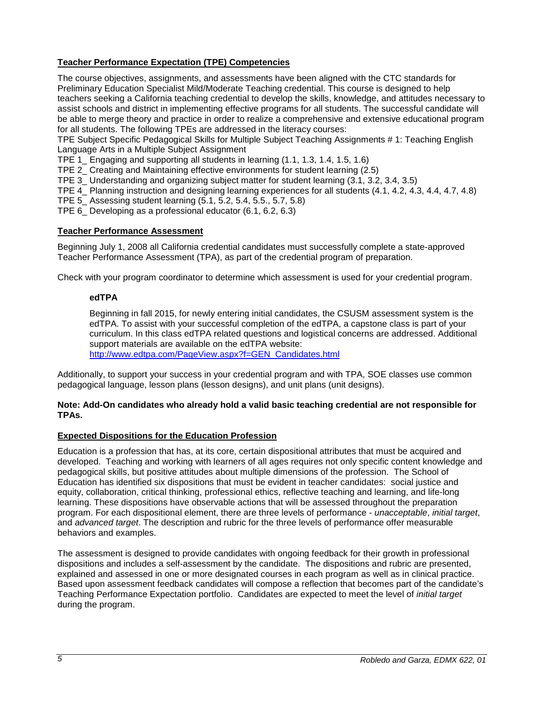# <span id="page-4-0"></span>**Teacher Performance Expectation (TPE) Competencies**

The course objectives, assignments, and assessments have been aligned with the CTC standards for Preliminary Education Specialist Mild/Moderate Teaching credential. This course is designed to help teachers seeking a California teaching credential to develop the skills, knowledge, and attitudes necessary to assist schools and district in implementing effective programs for all students. The successful candidate will be able to merge theory and practice in order to realize a comprehensive and extensive educational program for all students. The following TPEs are addressed in the literacy courses:

TPE Subject Specific Pedagogical Skills for Multiple Subject Teaching Assignments # 1: Teaching English Language Arts in a Multiple Subject Assignment

TPE 1\_ Engaging and supporting all students in learning (1.1, 1.3, 1.4, 1.5, 1.6)

TPE 2\_ Creating and Maintaining effective environments for student learning (2.5)

TPE 3\_ Understanding and organizing subject matter for student learning (3.1, 3.2, 3.4, 3.5)

TPE 4\_ Planning instruction and designing learning experiences for all students (4.1, 4.2, 4.3, 4.4, 4.7, 4.8)

TPE 5\_ Assessing student learning (5.1, 5.2, 5.4, 5.5., 5.7, 5.8)

TPE 6\_ Developing as a professional educator (6.1, 6.2, 6.3)

# <span id="page-4-1"></span>**Teacher Performance Assessment**

Beginning July 1, 2008 all California credential candidates must successfully complete a state-approved Teacher Performance Assessment (TPA), as part of the credential program of preparation.

<span id="page-4-2"></span>Check with your program coordinator to determine which assessment is used for your credential program.

# **edTPA**

Beginning in fall 2015, for newly entering initial candidates, the CSUSM assessment system is the edTPA. To assist with your successful completion of the edTPA, a capstone class is part of your curriculum. In this class edTPA related questions and logistical concerns are addressed. Additional support materials are available on the edTPA website:

[http://www.edtpa.com/PageView.aspx?f=GEN\\_Candidates.html](http://www.edtpa.com/PageView.aspx?f=GEN_Candidates.html)

Additionally, to support your success in your credential program and with TPA, SOE classes use common pedagogical language, lesson plans (lesson designs), and unit plans (unit designs).

### **Note: Add-On candidates who already hold a valid basic teaching credential are not responsible for TPAs.**

### <span id="page-4-3"></span>**Expected Dispositions for the Education Profession**

Education is a profession that has, at its core, certain dispositional attributes that must be acquired and developed. Teaching and working with learners of all ages requires not only specific content knowledge and pedagogical skills, but positive attitudes about multiple dimensions of the profession. The School of Education has identified six dispositions that must be evident in teacher candidates: social justice and equity, collaboration, critical thinking, professional ethics, reflective teaching and learning, and life-long learning. These dispositions have observable actions that will be assessed throughout the preparation program. For each dispositional element, there are three levels of performance - *unacceptable*, *initial target*, and *advanced target*. The description and rubric for the three levels of performance offer measurable behaviors and examples.

The assessment is designed to provide candidates with ongoing feedback for their growth in professional dispositions and includes a self-assessment by the candidate. The dispositions and rubric are presented, explained and assessed in one or more designated courses in each program as well as in clinical practice. Based upon assessment feedback candidates will compose a reflection that becomes part of the candidate's Teaching Performance Expectation portfolio. Candidates are expected to meet the level of *initial target* during the program.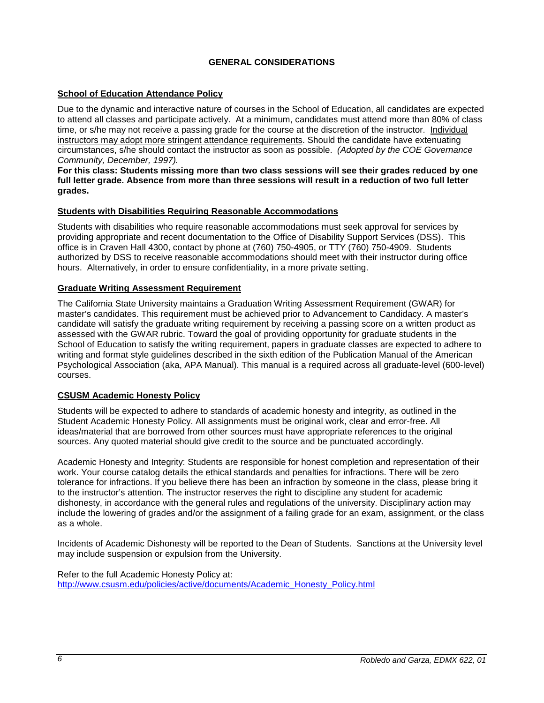# **GENERAL CONSIDERATIONS**

### <span id="page-5-1"></span><span id="page-5-0"></span>**School of Education Attendance Policy**

Due to the dynamic and interactive nature of courses in the School of Education, all candidates are expected to attend all classes and participate actively. At a minimum, candidates must attend more than 80% of class time, or s/he may not receive a passing grade for the course at the discretion of the instructor. Individual instructors may adopt more stringent attendance requirements. Should the candidate have extenuating circumstances, s/he should contact the instructor as soon as possible. *(Adopted by the COE Governance Community, December, 1997).*

**For this class: Students missing more than two class sessions will see their grades reduced by one full letter grade. Absence from more than three sessions will result in a reduction of two full letter grades.** 

### **Students with Disabilities Requiring Reasonable Accommodations**

Students with disabilities who require reasonable accommodations must seek approval for services by providing appropriate and recent documentation to the Office of Disability Support Services (DSS). This office is in Craven Hall 4300, contact by phone at (760) 750-4905, or TTY (760) 750-4909. Students authorized by DSS to receive reasonable accommodations should meet with their instructor during office hours. Alternatively, in order to ensure confidentiality, in a more private setting.

### <span id="page-5-2"></span>**Graduate Writing Assessment Requirement**

The California State University maintains a Graduation Writing Assessment Requirement (GWAR) for master's candidates. This requirement must be achieved prior to Advancement to Candidacy. A master's candidate will satisfy the graduate writing requirement by receiving a passing score on a written product as assessed with the GWAR rubric. Toward the goal of providing opportunity for graduate students in the School of Education to satisfy the writing requirement, papers in graduate classes are expected to adhere to writing and format style guidelines described in the sixth edition of the Publication Manual of the American Psychological Association (aka, APA Manual). This manual is a required across all graduate-level (600-level) courses.

### <span id="page-5-3"></span>**CSUSM Academic Honesty Policy**

Students will be expected to adhere to standards of academic honesty and integrity, as outlined in the Student Academic Honesty Policy. All assignments must be original work, clear and error-free. All ideas/material that are borrowed from other sources must have appropriate references to the original sources. Any quoted material should give credit to the source and be punctuated accordingly.

Academic Honesty and Integrity: Students are responsible for honest completion and representation of their work. Your course catalog details the ethical standards and penalties for infractions. There will be zero tolerance for infractions. If you believe there has been an infraction by someone in the class, please bring it to the instructor's attention. The instructor reserves the right to discipline any student for academic dishonesty, in accordance with the general rules and regulations of the university. Disciplinary action may include the lowering of grades and/or the assignment of a failing grade for an exam, assignment, or the class as a whole.

Incidents of Academic Dishonesty will be reported to the Dean of Students. Sanctions at the University level may include suspension or expulsion from the University.

Refer to the full Academic Honesty Policy at: [http://www.csusm.edu/policies/active/documents/Academic\\_Honesty\\_Policy.html](http://www.csusm.edu/policies/active/documents/Academic_Honesty_Policy.html)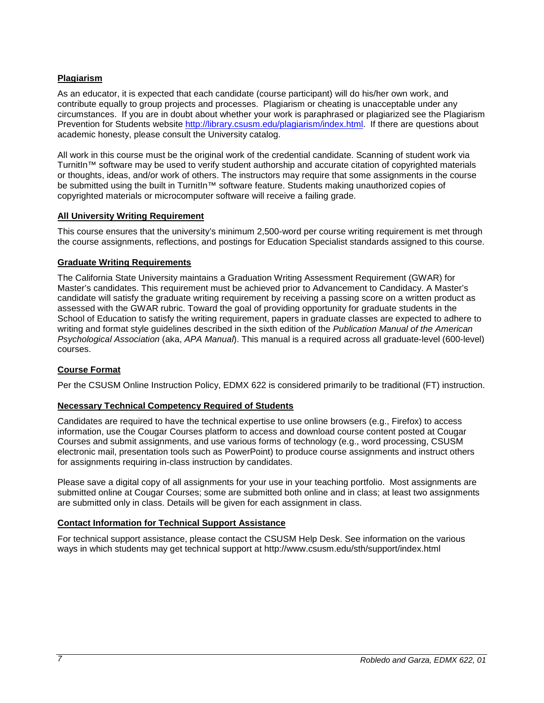# <span id="page-6-0"></span>**Plagiarism**

As an educator, it is expected that each candidate (course participant) will do his/her own work, and contribute equally to group projects and processes. Plagiarism or cheating is unacceptable under any circumstances. If you are in doubt about whether your work is paraphrased or plagiarized see the Plagiarism Prevention for Students website [http://library.csusm.edu/plagiarism/index.html.](http://library.csusm.edu/plagiarism/index.html) If there are questions about academic honesty, please consult the University catalog.

All work in this course must be the original work of the credential candidate. Scanning of student work via TurnitIn™ software may be used to verify student authorship and accurate citation of copyrighted materials or thoughts, ideas, and/or work of others. The instructors may require that some assignments in the course be submitted using the built in TurnitIn™ software feature. Students making unauthorized copies of copyrighted materials or microcomputer software will receive a failing grade.

### <span id="page-6-1"></span>**All University Writing Requirement**

This course ensures that the university's minimum 2,500-word per course writing requirement is met through the course assignments, reflections, and postings for Education Specialist standards assigned to this course.

### <span id="page-6-2"></span>**Graduate Writing Requirements**

The California State University maintains a Graduation Writing Assessment Requirement (GWAR) for Master's candidates. This requirement must be achieved prior to Advancement to Candidacy. A Master's candidate will satisfy the graduate writing requirement by receiving a passing score on a written product as assessed with the GWAR rubric. Toward the goal of providing opportunity for graduate students in the School of Education to satisfy the writing requirement, papers in graduate classes are expected to adhere to writing and format style guidelines described in the sixth edition of the *Publication Manual of the American Psychological Association* (aka, *APA Manual*). This manual is a required across all graduate-level (600-level) courses.

#### <span id="page-6-3"></span>**Course Format**

Per the CSUSM Online Instruction Policy, EDMX 622 is considered primarily to be traditional (FT) instruction.

### <span id="page-6-4"></span>**Necessary Technical Competency Required of Students**

Candidates are required to have the technical expertise to use online browsers (e.g., Firefox) to access information, use the Cougar Courses platform to access and download course content posted at Cougar Courses and submit assignments, and use various forms of technology (e.g., word processing, CSUSM electronic mail, presentation tools such as PowerPoint) to produce course assignments and instruct others for assignments requiring in-class instruction by candidates.

Please save a digital copy of all assignments for your use in your teaching portfolio. Most assignments are submitted online at Cougar Courses; some are submitted both online and in class; at least two assignments are submitted only in class. Details will be given for each assignment in class.

#### <span id="page-6-5"></span>**Contact Information for Technical Support Assistance**

For technical support assistance, please contact the CSUSM Help Desk. See information on the various ways in which students may get technical support at http://www.csusm.edu/sth/support/index.html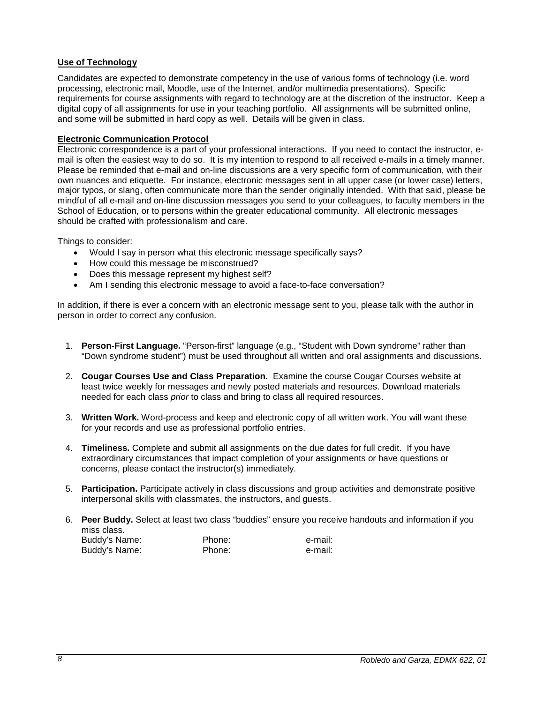### <span id="page-7-0"></span>**Use of Technology**

Candidates are expected to demonstrate competency in the use of various forms of technology (i.e. word processing, electronic mail, Moodle, use of the Internet, and/or multimedia presentations). Specific requirements for course assignments with regard to technology are at the discretion of the instructor. Keep a digital copy of all assignments for use in your teaching portfolio. All assignments will be submitted online, and some will be submitted in hard copy as well. Details will be given in class.

### **Electronic Communication Protocol**

Electronic correspondence is a part of your professional interactions. If you need to contact the instructor, email is often the easiest way to do so. It is my intention to respond to all received e-mails in a timely manner. Please be reminded that e-mail and on-line discussions are a very specific form of communication, with their own nuances and etiquette. For instance, electronic messages sent in all upper case (or lower case) letters, major typos, or slang, often communicate more than the sender originally intended. With that said, please be mindful of all e-mail and on-line discussion messages you send to your colleagues, to faculty members in the School of Education, or to persons within the greater educational community. All electronic messages should be crafted with professionalism and care.

Things to consider:

- Would I say in person what this electronic message specifically says?
- How could this message be misconstrued?
- Does this message represent my highest self?
- Am I sending this electronic message to avoid a face-to-face conversation?

In addition, if there is ever a concern with an electronic message sent to you, please talk with the author in person in order to correct any confusion.

- 1. **Person-First Language.** "Person-first" language (e.g., "Student with Down syndrome" rather than "Down syndrome student") must be used throughout all written and oral assignments and discussions.
- 2. **Cougar Courses Use and Class Preparation.** Examine the course Cougar Courses website at least twice weekly for messages and newly posted materials and resources. Download materials needed for each class *prior* to class and bring to class all required resources.
- 3. **Written Work.** Word-process and keep and electronic copy of all written work. You will want these for your records and use as professional portfolio entries.
- 4. **Timeliness.** Complete and submit all assignments on the due dates for full credit. If you have extraordinary circumstances that impact completion of your assignments or have questions or concerns, please contact the instructor(s) immediately.
- 5. **Participation.** Participate actively in class discussions and group activities and demonstrate positive interpersonal skills with classmates, the instructors, and guests.
- 6. **Peer Buddy.** Select at least two class "buddies" ensure you receive handouts and information if you miss class.

| Buddy's Name: | Phone: | e-mail: |
|---------------|--------|---------|
| Buddy's Name: | Phone: | e-mail: |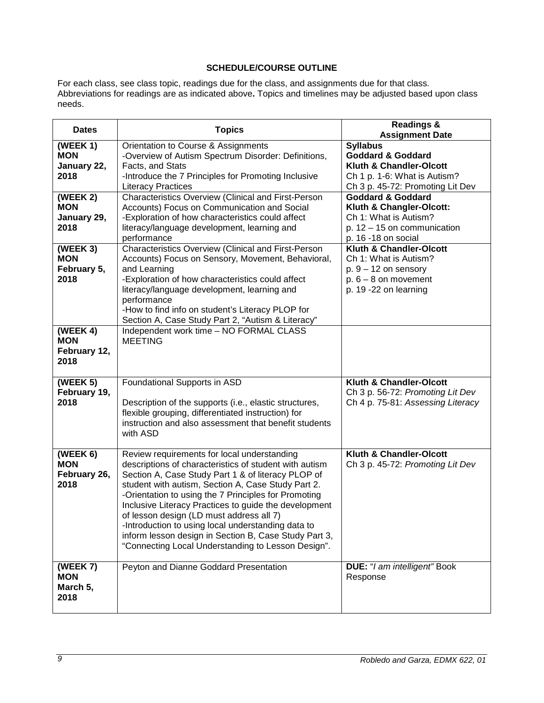# **SCHEDULE/COURSE OUTLINE**

<span id="page-8-0"></span>For each class, see class topic, readings due for the class, and assignments due for that class*.* Abbreviations for readings are as indicated above**.** Topics and timelines may be adjusted based upon class needs.

| <b>Dates</b>                                   | <b>Topics</b>                                                                                                                                                                                                                                                                                                                                                                                                                                                                                                                                       | <b>Readings &amp;</b><br><b>Assignment Date</b>                                                                                                |
|------------------------------------------------|-----------------------------------------------------------------------------------------------------------------------------------------------------------------------------------------------------------------------------------------------------------------------------------------------------------------------------------------------------------------------------------------------------------------------------------------------------------------------------------------------------------------------------------------------------|------------------------------------------------------------------------------------------------------------------------------------------------|
| (WEEK 1)<br><b>MON</b><br>January 22,<br>2018  | Orientation to Course & Assignments<br>-Overview of Autism Spectrum Disorder: Definitions,<br>Facts, and Stats<br>-Introduce the 7 Principles for Promoting Inclusive<br><b>Literacy Practices</b>                                                                                                                                                                                                                                                                                                                                                  | <b>Syllabus</b><br><b>Goddard &amp; Goddard</b><br>Kluth & Chandler-Olcott<br>Ch 1 p. 1-6: What is Autism?<br>Ch 3 p. 45-72: Promoting Lit Dev |
| (WEEK 2)<br><b>MON</b><br>January 29,<br>2018  | <b>Characteristics Overview (Clinical and First-Person</b><br>Accounts) Focus on Communication and Social<br>-Exploration of how characteristics could affect<br>literacy/language development, learning and<br>performance                                                                                                                                                                                                                                                                                                                         | <b>Goddard &amp; Goddard</b><br>Kluth & Changler-Olcott:<br>Ch 1: What is Autism?<br>p. $12 - 15$ on communication<br>p. 16 -18 on social      |
| (WEEK 3)<br><b>MON</b><br>February 5,<br>2018  | Characteristics Overview (Clinical and First-Person<br>Accounts) Focus on Sensory, Movement, Behavioral,<br>and Learning<br>-Exploration of how characteristics could affect<br>literacy/language development, learning and<br>performance<br>-How to find info on student's Literacy PLOP for<br>Section A, Case Study Part 2, "Autism & Literacy"                                                                                                                                                                                                 | <b>Kluth &amp; Chandler-Olcott</b><br>Ch 1: What is Autism?<br>$p. 9 - 12$ on sensory<br>$p. 6 - 8$ on movement<br>p. 19 -22 on learning       |
| (WEEK 4)<br><b>MON</b><br>February 12,<br>2018 | Independent work time - NO FORMAL CLASS<br><b>MEETING</b>                                                                                                                                                                                                                                                                                                                                                                                                                                                                                           |                                                                                                                                                |
| (WEEK 5)<br>February 19,<br>2018               | Foundational Supports in ASD<br>Description of the supports (i.e., elastic structures,<br>flexible grouping, differentiated instruction) for<br>instruction and also assessment that benefit students<br>with ASD                                                                                                                                                                                                                                                                                                                                   | Kluth & Chandler-Olcott<br>Ch 3 p. 56-72: Promoting Lit Dev<br>Ch 4 p. 75-81: Assessing Literacy                                               |
| (WEEK 6)<br><b>MON</b><br>February 26,<br>2018 | Review requirements for local understanding<br>descriptions of characteristics of student with autism<br>Section A, Case Study Part 1 & of literacy PLOP of<br>student with autism, Section A, Case Study Part 2.<br>-Orientation to using the 7 Principles for Promoting<br>Inclusive Literacy Practices to guide the development<br>of lesson design (LD must address all 7)<br>-Introduction to using local understanding data to<br>inform lesson design in Section B, Case Study Part 3,<br>"Connecting Local Understanding to Lesson Design". | Kluth & Chandler-Olcott<br>Ch 3 p. 45-72: Promoting Lit Dev                                                                                    |
| (WEEK 7)<br><b>MON</b><br>March 5,<br>2018     | Peyton and Dianne Goddard Presentation                                                                                                                                                                                                                                                                                                                                                                                                                                                                                                              | <b>DUE: "I am intelligent" Book</b><br>Response                                                                                                |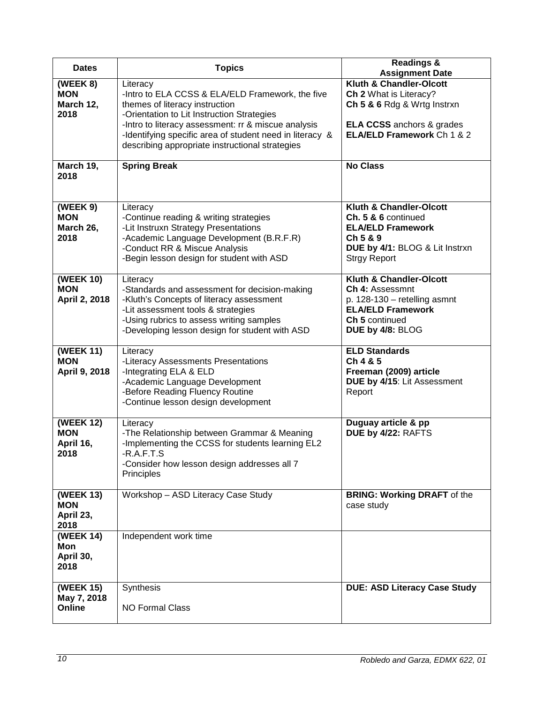| <b>Dates</b>                                        | <b>Topics</b>                                                                                                                                                                                                                                                                                                      | <b>Readings &amp;</b><br><b>Assignment Date</b>                                                                                                            |
|-----------------------------------------------------|--------------------------------------------------------------------------------------------------------------------------------------------------------------------------------------------------------------------------------------------------------------------------------------------------------------------|------------------------------------------------------------------------------------------------------------------------------------------------------------|
| (WEEK 8)<br><b>MON</b><br>March 12,<br>2018         | Literacy<br>-Intro to ELA CCSS & ELA/ELD Framework, the five<br>themes of literacy instruction<br>-Orientation to Lit Instruction Strategies<br>-Intro to literacy assessment: rr & miscue analysis<br>-Identifying specific area of student need in literacy &<br>describing appropriate instructional strategies | Kluth & Chandler-Olcott<br>Ch 2 What is Literacy?<br>Ch 5 & 6 Rdg & Wrtg Instrxn<br><b>ELA CCSS</b> anchors & grades<br>ELA/ELD Framework Ch 1 & 2         |
| March 19,<br>2018                                   | <b>Spring Break</b>                                                                                                                                                                                                                                                                                                | <b>No Class</b>                                                                                                                                            |
| (WEEK 9)<br><b>MON</b><br>March 26,<br>2018         | Literacy<br>-Continue reading & writing strategies<br>-Lit Instruxn Strategy Presentations<br>-Academic Language Development (B.R.F.R)<br>-Conduct RR & Miscue Analysis<br>-Begin lesson design for student with ASD                                                                                               | Kluth & Chandler-Olcott<br>Ch. 5 & 6 continued<br><b>ELA/ELD Framework</b><br>Ch 5 & 9<br>DUE by 4/1: BLOG & Lit Instrxn<br><b>Strgy Report</b>            |
| (WEEK 10)<br><b>MON</b><br>April 2, 2018            | Literacy<br>-Standards and assessment for decision-making<br>-Kluth's Concepts of literacy assessment<br>-Lit assessment tools & strategies<br>-Using rubrics to assess writing samples<br>-Developing lesson design for student with ASD                                                                          | Kluth & Chandler-Olcott<br><b>Ch 4: Assessmnt</b><br>p. 128-130 - retelling asmnt<br><b>ELA/ELD Framework</b><br><b>Ch 5 continued</b><br>DUE by 4/8: BLOG |
| (WEEK 11)<br><b>MON</b><br>April 9, 2018            | Literacy<br>-Literacy Assessments Presentations<br>-Integrating ELA & ELD<br>-Academic Language Development<br>-Before Reading Fluency Routine<br>-Continue lesson design development                                                                                                                              | <b>ELD Standards</b><br>Ch 4 & 5<br>Freeman (2009) article<br>DUE by 4/15: Lit Assessment<br>Report                                                        |
| <b>(WEEK 12)</b><br><b>MON</b><br>April 16,<br>2018 | Literacy<br>-The Relationship between Grammar & Meaning<br>-Implementing the CCSS for students learning EL2<br>$-R$ $A$ $F$ $T$ $S$<br>-Consider how lesson design addresses all 7<br>Principles                                                                                                                   | Duguay article & pp<br>DUE by 4/22: RAFTS                                                                                                                  |
| (WEEK 13)<br><b>MON</b><br>April 23,<br>2018        | Workshop - ASD Literacy Case Study                                                                                                                                                                                                                                                                                 | <b>BRING: Working DRAFT of the</b><br>case study                                                                                                           |
| (WEEK 14)<br>Mon<br>April 30,<br>2018               | Independent work time                                                                                                                                                                                                                                                                                              |                                                                                                                                                            |
| <b>(WEEK 15)</b><br>May 7, 2018<br>Online           | Synthesis<br><b>NO Formal Class</b>                                                                                                                                                                                                                                                                                | <b>DUE: ASD Literacy Case Study</b>                                                                                                                        |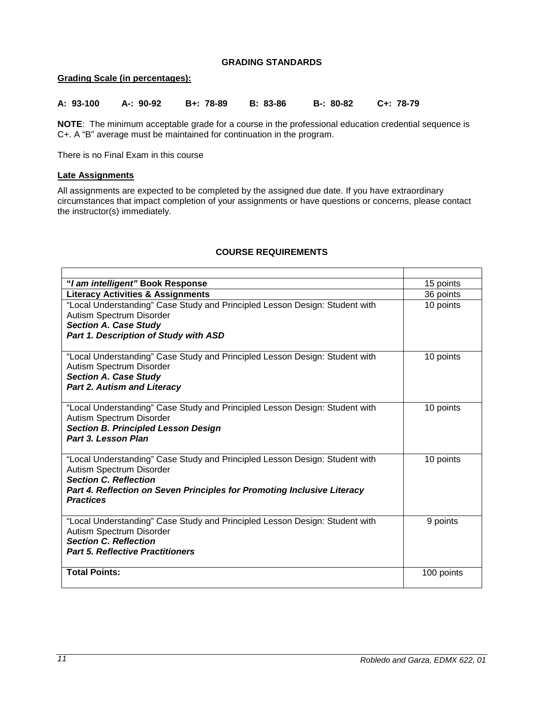### **GRADING STANDARDS**

### <span id="page-10-1"></span><span id="page-10-0"></span>**Grading Scale (in percentages):**

| A: 93-100 | — А-: 90-92 | B+: 78-89 | B: 83-86 | B-: 80-82 C+: 78-79 |
|-----------|-------------|-----------|----------|---------------------|
|           |             |           |          |                     |

**NOTE**: The minimum acceptable grade for a course in the professional education credential sequence is C+. A "B" average must be maintained for continuation in the program.

There is no Final Exam in this course

### <span id="page-10-2"></span>**Late Assignments**

All assignments are expected to be completed by the assigned due date. If you have extraordinary circumstances that impact completion of your assignments or have questions or concerns, please contact the instructor(s) immediately.

| "I am intelligent" Book Response                                                                                                                                                                                                       | 15 points  |
|----------------------------------------------------------------------------------------------------------------------------------------------------------------------------------------------------------------------------------------|------------|
| <b>Literacy Activities &amp; Assignments</b>                                                                                                                                                                                           | 36 points  |
| "Local Understanding" Case Study and Principled Lesson Design: Student with<br>Autism Spectrum Disorder<br><b>Section A. Case Study</b><br>Part 1. Description of Study with ASD                                                       | 10 points  |
| "Local Understanding" Case Study and Principled Lesson Design: Student with<br>Autism Spectrum Disorder<br><b>Section A. Case Study</b><br><b>Part 2. Autism and Literacy</b>                                                          | 10 points  |
| "Local Understanding" Case Study and Principled Lesson Design: Student with<br>Autism Spectrum Disorder<br><b>Section B. Principled Lesson Design</b><br>Part 3. Lesson Plan                                                           | 10 points  |
| "Local Understanding" Case Study and Principled Lesson Design: Student with<br>Autism Spectrum Disorder<br><b>Section C. Reflection</b><br>Part 4. Reflection on Seven Principles for Promoting Inclusive Literacy<br><b>Practices</b> | 10 points  |
| "Local Understanding" Case Study and Principled Lesson Design: Student with<br>Autism Spectrum Disorder<br><b>Section C. Reflection</b><br><b>Part 5. Reflective Practitioners</b>                                                     | 9 points   |
| <b>Total Points:</b>                                                                                                                                                                                                                   | 100 points |

# **COURSE REQUIREMENTS**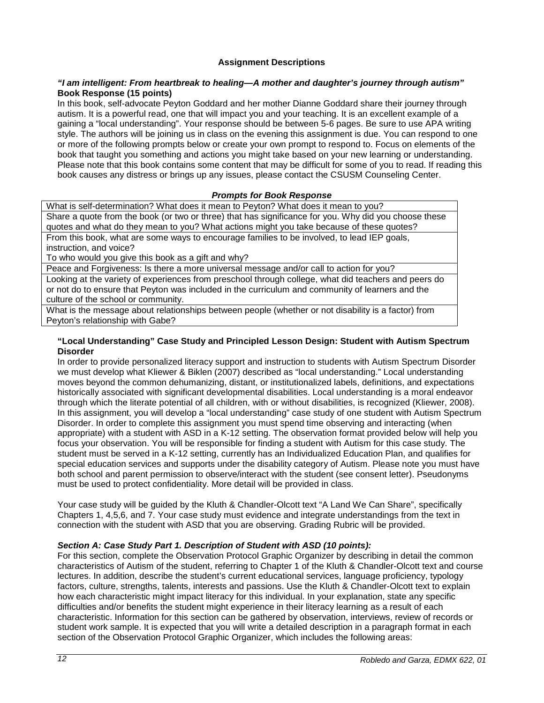### **Assignment Descriptions**

### *"I am intelligent: From heartbreak to healing—A mother and daughter's journey through autism"*  **Book Response (15 points)**

In this book, self-advocate Peyton Goddard and her mother Dianne Goddard share their journey through autism. It is a powerful read, one that will impact you and your teaching. It is an excellent example of a gaining a "local understanding". Your response should be between 5-6 pages. Be sure to use APA writing style. The authors will be joining us in class on the evening this assignment is due. You can respond to one or more of the following prompts below or create your own prompt to respond to. Focus on elements of the book that taught you something and actions you might take based on your new learning or understanding. Please note that this book contains some content that may be difficult for some of you to read. If reading this book causes any distress or brings up any issues, please contact the CSUSM Counseling Center.

### *Prompts for Book Response*

What is self-determination? What does it mean to Peyton? What does it mean to you? Share a quote from the book (or two or three) that has significance for you. Why did you choose these quotes and what do they mean to you? What actions might you take because of these quotes? From this book, what are some ways to encourage families to be involved, to lead IEP goals, instruction, and voice?

To who would you give this book as a gift and why?

Peace and Forgiveness: Is there a more universal message and/or call to action for you?

Looking at the variety of experiences from preschool through college, what did teachers and peers do or not do to ensure that Peyton was included in the curriculum and community of learners and the culture of the school or community.

What is the message about relationships between people (whether or not disability is a factor) from Peyton's relationship with Gabe?

#### **"Local Understanding" Case Study and Principled Lesson Design: Student with Autism Spectrum Disorder**

In order to provide personalized literacy support and instruction to students with Autism Spectrum Disorder we must develop what Kliewer & Biklen (2007) described as "local understanding." Local understanding moves beyond the common dehumanizing, distant, or institutionalized labels, definitions, and expectations historically associated with significant developmental disabilities. Local understanding is a moral endeavor through which the literate potential of all children, with or without disabilities, is recognized (Kliewer, 2008). In this assignment, you will develop a "local understanding" case study of one student with Autism Spectrum Disorder. In order to complete this assignment you must spend time observing and interacting (when appropriate) with a student with ASD in a K-12 setting. The observation format provided below will help you focus your observation. You will be responsible for finding a student with Autism for this case study. The student must be served in a K-12 setting, currently has an Individualized Education Plan, and qualifies for special education services and supports under the disability category of Autism. Please note you must have both school and parent permission to observe/interact with the student (see consent letter). Pseudonyms must be used to protect confidentiality. More detail will be provided in class.

Your case study will be guided by the Kluth & Chandler-Olcott text "A Land We Can Share", specifically Chapters 1, 4,5,6, and 7. Your case study must evidence and integrate understandings from the text in connection with the student with ASD that you are observing. Grading Rubric will be provided.

#### *Section A: Case Study Part 1. Description of Student with ASD (10 points):*

For this section, complete the Observation Protocol Graphic Organizer by describing in detail the common characteristics of Autism of the student, referring to Chapter 1 of the Kluth & Chandler-Olcott text and course lectures. In addition, describe the student's current educational services, language proficiency, typology factors, culture, strengths, talents, interests and passions. Use the Kluth & Chandler-Olcott text to explain how each characteristic might impact literacy for this individual. In your explanation, state any specific difficulties and/or benefits the student might experience in their literacy learning as a result of each characteristic. Information for this section can be gathered by observation, interviews, review of records or student work sample. It is expected that you will write a detailed description in a paragraph format in each section of the Observation Protocol Graphic Organizer, which includes the following areas: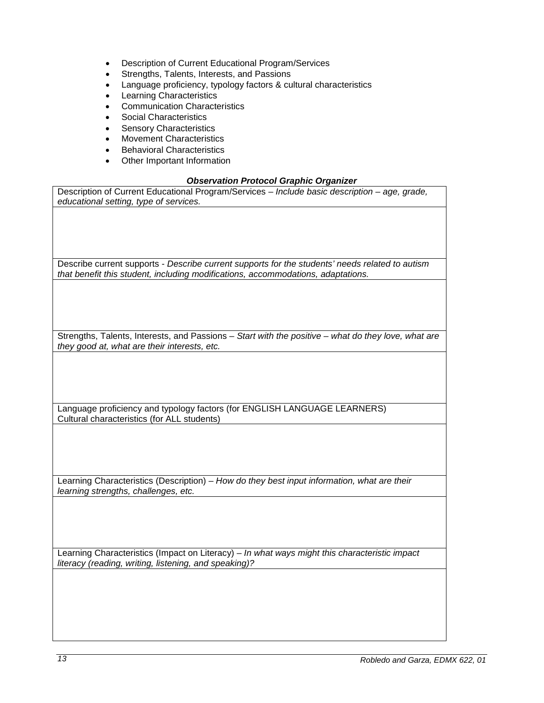- Description of Current Educational Program/Services
- Strengths, Talents, Interests, and Passions
- Language proficiency, typology factors & cultural characteristics
- **Learning Characteristics**
- Communication Characteristics
- Social Characteristics
- **Sensory Characteristics**
- Movement Characteristics
- Behavioral Characteristics
- Other Important Information

### *Observation Protocol Graphic Organizer*

| Description of Current Educational Program/Services - Include basic description - age, grade,       |
|-----------------------------------------------------------------------------------------------------|
| educational setting, type of services.                                                              |
|                                                                                                     |
|                                                                                                     |
|                                                                                                     |
|                                                                                                     |
|                                                                                                     |
|                                                                                                     |
|                                                                                                     |
|                                                                                                     |
| Describe current supports - Describe current supports for the students' needs related to autism     |
| that benefit this student, including modifications, accommodations, adaptations.                    |
|                                                                                                     |
|                                                                                                     |
|                                                                                                     |
|                                                                                                     |
|                                                                                                     |
|                                                                                                     |
|                                                                                                     |
| Strengths, Talents, Interests, and Passions - Start with the positive - what do they love, what are |
|                                                                                                     |
| they good at, what are their interests, etc.                                                        |
|                                                                                                     |
|                                                                                                     |
|                                                                                                     |
|                                                                                                     |
|                                                                                                     |
|                                                                                                     |
|                                                                                                     |
| Language proficiency and typology factors (for ENGLISH LANGUAGE LEARNERS)                           |
| Cultural characteristics (for ALL students)                                                         |
|                                                                                                     |
|                                                                                                     |
|                                                                                                     |
|                                                                                                     |
|                                                                                                     |
|                                                                                                     |
|                                                                                                     |
| Learning Characteristics (Description) - How do they best input information, what are their         |
|                                                                                                     |
| learning strengths, challenges, etc.                                                                |
|                                                                                                     |
|                                                                                                     |
|                                                                                                     |
|                                                                                                     |
|                                                                                                     |
|                                                                                                     |
|                                                                                                     |
| Learning Characteristics (Impact on Literacy) - In what ways might this characteristic impact       |
| literacy (reading, writing, listening, and speaking)?                                               |
|                                                                                                     |
|                                                                                                     |
|                                                                                                     |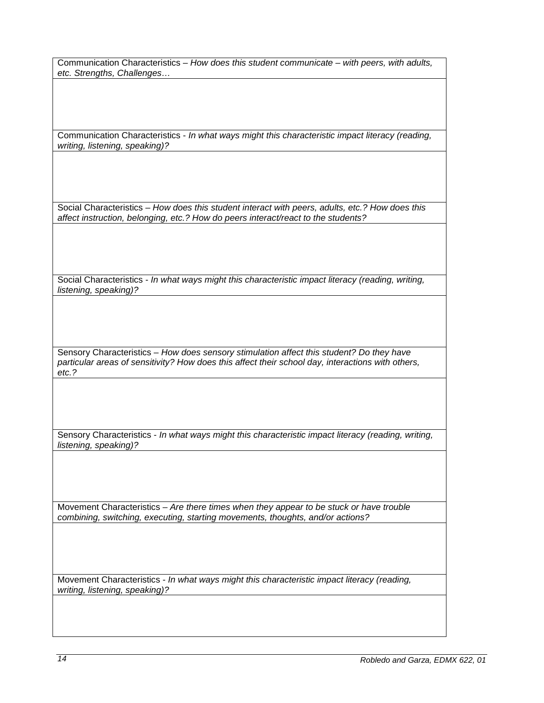Communication Characteristics – *How does this student communicate – with peers, with adults, etc. Strengths, Challenges…*

Communication Characteristics - *In what ways might this characteristic impact literacy (reading, writing, listening, speaking)?*

Social Characteristics – *How does this student interact with peers, adults, etc.? How does this affect instruction, belonging, etc.? How do peers interact/react to the students?*

Social Characteristics - *In what ways might this characteristic impact literacy (reading, writing, listening, speaking)?*

Sensory Characteristics – *How does sensory stimulation affect this student? Do they have particular areas of sensitivity? How does this affect their school day, interactions with others, etc.?*

Sensory Characteristics - *In what ways might this characteristic impact literacy (reading, writing, listening, speaking)?*

Movement Characteristics – *Are there times when they appear to be stuck or have trouble combining, switching, executing, starting movements, thoughts, and/or actions?* 

Movement Characteristics - *In what ways might this characteristic impact literacy (reading, writing, listening, speaking)?*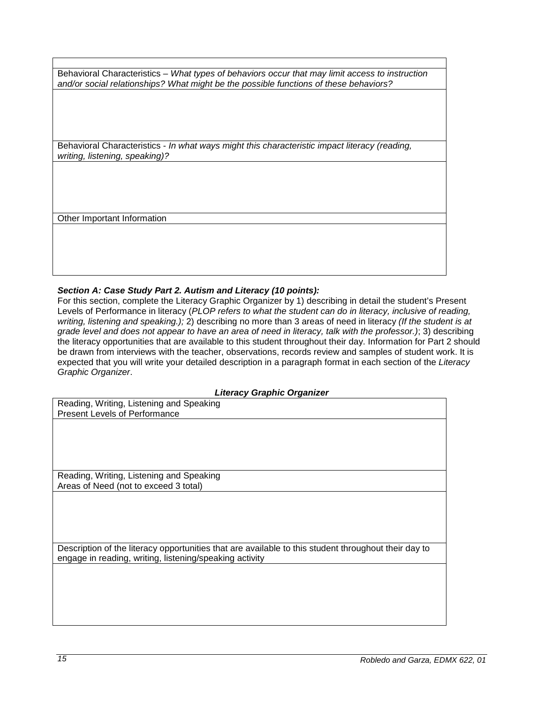Behavioral Characteristics – *What types of behaviors occur that may limit access to instruction and/or social relationships? What might be the possible functions of these behaviors?*

Behavioral Characteristics - *In what ways might this characteristic impact literacy (reading, writing, listening, speaking)?*

Other Important Information

# *Section A: Case Study Part 2. Autism and Literacy (10 points):*

For this section, complete the Literacy Graphic Organizer by 1) describing in detail the student's Present Levels of Performance in literacy (*PLOP refers to what the student can do in literacy, inclusive of reading, writing, listening and speaking.);* 2) describing no more than 3 areas of need in literacy *(If the student is at grade level and does not appear to have an area of need in literacy, talk with the professor.)*; 3) describing the literacy opportunities that are available to this student throughout their day. Information for Part 2 should be drawn from interviews with the teacher, observations, records review and samples of student work. It is expected that you will write your detailed description in a paragraph format in each section of the *Literacy Graphic Organizer*.

#### *Literacy Graphic Organizer*

| Reading, Writing, Listening and Speaking                                                             |
|------------------------------------------------------------------------------------------------------|
| <b>Present Levels of Performance</b>                                                                 |
|                                                                                                      |
|                                                                                                      |
|                                                                                                      |
|                                                                                                      |
|                                                                                                      |
| Reading, Writing, Listening and Speaking                                                             |
| Areas of Need (not to exceed 3 total)                                                                |
|                                                                                                      |
|                                                                                                      |
|                                                                                                      |
|                                                                                                      |
|                                                                                                      |
| Description of the literacy opportunities that are available to this student throughout their day to |
|                                                                                                      |
| engage in reading, writing, listening/speaking activity                                              |
|                                                                                                      |
|                                                                                                      |
|                                                                                                      |
|                                                                                                      |
|                                                                                                      |
|                                                                                                      |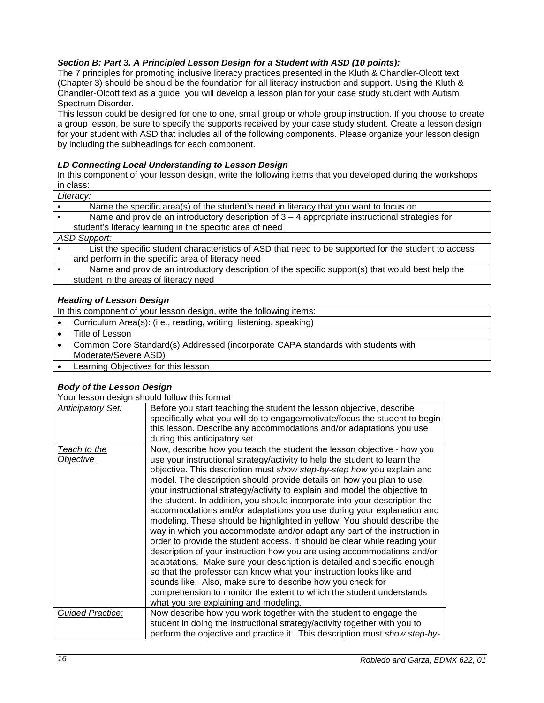### *Section B: Part 3. A Principled Lesson Design for a Student with ASD (10 points):*

The 7 principles for promoting inclusive literacy practices presented in the Kluth & Chandler-Olcott text (Chapter 3) should be should be the foundation for all literacy instruction and support. Using the Kluth & Chandler-Olcott text as a guide, you will develop a lesson plan for your case study student with Autism Spectrum Disorder.

This lesson could be designed for one to one, small group or whole group instruction. If you choose to create a group lesson, be sure to specify the supports received by your case study student. Create a lesson design for your student with ASD that includes all of the following components. Please organize your lesson design by including the subheadings for each component.

### *LD Connecting Local Understanding to Lesson Design*

In this component of your lesson design, write the following items that you developed during the workshops in class:

| Literacy:                                                                                            |
|------------------------------------------------------------------------------------------------------|
| Name the specific area(s) of the student's need in literacy that you want to focus on                |
| Name and provide an introductory description of $3 - 4$ appropriate instructional strategies for     |
| student's literacy learning in the specific area of need                                             |
| <b>ASD Support:</b>                                                                                  |
| List the specific student characteristics of ASD that need to be supported for the student to access |
| and perform in the specific area of literacy need                                                    |
| Name and provide an introductory description of the specific support(s) that would best help the     |
| student in the areas of literacy need                                                                |
|                                                                                                      |

### *Heading of Lesson Design*

| In this component of your lesson design, write the following items:              |  |  |
|----------------------------------------------------------------------------------|--|--|
| Curriculum Area(s): (i.e., reading, writing, listening, speaking)                |  |  |
| Title of Lesson                                                                  |  |  |
| Common Core Standard(s) Addressed (incorporate CAPA standards with students with |  |  |
| Moderate/Severe ASD)                                                             |  |  |
| Learning Objectives for this lesson                                              |  |  |

### *Body of the Lesson Design*

Your lesson design should follow this format

| <b>Anticipatory Set:</b>  | Before you start teaching the student the lesson objective, describe<br>specifically what you will do to engage/motivate/focus the student to begin<br>this lesson. Describe any accommodations and/or adaptations you use<br>during this anticipatory set.                                                                                                                                                                                                                                                                                                                                                                                                                                                                                                                                                                                                                                                                                                                                                                                                                                                                                                                                  |  |
|---------------------------|----------------------------------------------------------------------------------------------------------------------------------------------------------------------------------------------------------------------------------------------------------------------------------------------------------------------------------------------------------------------------------------------------------------------------------------------------------------------------------------------------------------------------------------------------------------------------------------------------------------------------------------------------------------------------------------------------------------------------------------------------------------------------------------------------------------------------------------------------------------------------------------------------------------------------------------------------------------------------------------------------------------------------------------------------------------------------------------------------------------------------------------------------------------------------------------------|--|
| Teach to the<br>Objective | Now, describe how you teach the student the lesson objective - how you<br>use your instructional strategy/activity to help the student to learn the<br>objective. This description must show step-by-step how you explain and<br>model. The description should provide details on how you plan to use<br>your instructional strategy/activity to explain and model the objective to<br>the student. In addition, you should incorporate into your description the<br>accommodations and/or adaptations you use during your explanation and<br>modeling. These should be highlighted in yellow. You should describe the<br>way in which you accommodate and/or adapt any part of the instruction in<br>order to provide the student access. It should be clear while reading your<br>description of your instruction how you are using accommodations and/or<br>adaptations. Make sure your description is detailed and specific enough<br>so that the professor can know what your instruction looks like and<br>sounds like. Also, make sure to describe how you check for<br>comprehension to monitor the extent to which the student understands<br>what you are explaining and modeling. |  |
| Guided Practice:          | Now describe how you work together with the student to engage the<br>student in doing the instructional strategy/activity together with you to<br>perform the objective and practice it. This description must show step-by-                                                                                                                                                                                                                                                                                                                                                                                                                                                                                                                                                                                                                                                                                                                                                                                                                                                                                                                                                                 |  |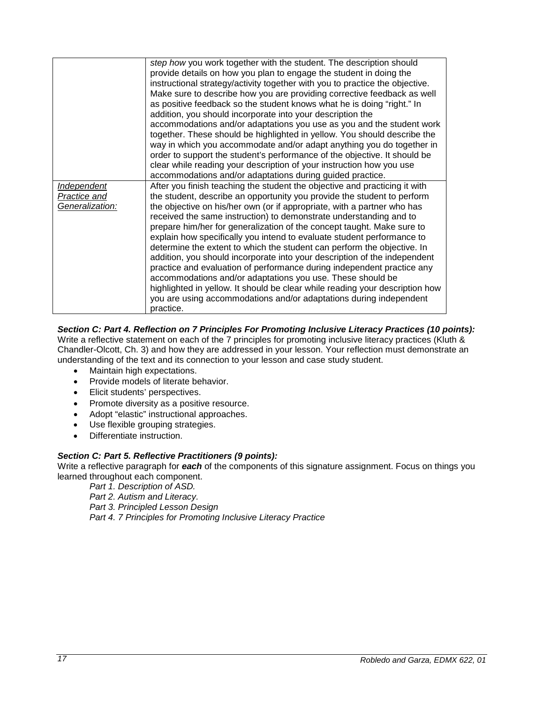|                                                       | step how you work together with the student. The description should<br>provide details on how you plan to engage the student in doing the<br>instructional strategy/activity together with you to practice the objective.                                                                                                                                                                                                                                                                                                                                                                                                                                                                                                                                                                                                                                                                                                     |
|-------------------------------------------------------|-------------------------------------------------------------------------------------------------------------------------------------------------------------------------------------------------------------------------------------------------------------------------------------------------------------------------------------------------------------------------------------------------------------------------------------------------------------------------------------------------------------------------------------------------------------------------------------------------------------------------------------------------------------------------------------------------------------------------------------------------------------------------------------------------------------------------------------------------------------------------------------------------------------------------------|
|                                                       | Make sure to describe how you are providing corrective feedback as well<br>as positive feedback so the student knows what he is doing "right." In<br>addition, you should incorporate into your description the                                                                                                                                                                                                                                                                                                                                                                                                                                                                                                                                                                                                                                                                                                               |
|                                                       | accommodations and/or adaptations you use as you and the student work<br>together. These should be highlighted in yellow. You should describe the<br>way in which you accommodate and/or adapt anything you do together in                                                                                                                                                                                                                                                                                                                                                                                                                                                                                                                                                                                                                                                                                                    |
|                                                       | order to support the student's performance of the objective. It should be<br>clear while reading your description of your instruction how you use<br>accommodations and/or adaptations during guided practice.                                                                                                                                                                                                                                                                                                                                                                                                                                                                                                                                                                                                                                                                                                                |
| <b>Independent</b><br>Practice and<br>Generalization: | After you finish teaching the student the objective and practicing it with<br>the student, describe an opportunity you provide the student to perform<br>the objective on his/her own (or if appropriate, with a partner who has<br>received the same instruction) to demonstrate understanding and to<br>prepare him/her for generalization of the concept taught. Make sure to<br>explain how specifically you intend to evaluate student performance to<br>determine the extent to which the student can perform the objective. In<br>addition, you should incorporate into your description of the independent<br>practice and evaluation of performance during independent practice any<br>accommodations and/or adaptations you use. These should be<br>highlighted in yellow. It should be clear while reading your description how<br>you are using accommodations and/or adaptations during independent<br>practice. |

# *Section C: Part 4. Reflection on 7 Principles For Promoting Inclusive Literacy Practices (10 points):*

Write a reflective statement on each of the 7 principles for promoting inclusive literacy practices (Kluth & Chandler-Olcott, Ch. 3) and how they are addressed in your lesson. Your reflection must demonstrate an understanding of the text and its connection to your lesson and case study student.

- Maintain high expectations.
- Provide models of literate behavior.
- Elicit students' perspectives.
- Promote diversity as a positive resource.
- Adopt "elastic" instructional approaches.
- Use flexible grouping strategies.
- Differentiate instruction.

### *Section C: Part 5. Reflective Practitioners (9 points):*

Write a reflective paragraph for *each* of the components of this signature assignment. Focus on things you learned throughout each component.

*Part 1. Description of ASD.*

*Part 2. Autism and Literacy.* 

*Part 3. Principled Lesson Design*

*Part 4. 7 Principles for Promoting Inclusive Literacy Practice*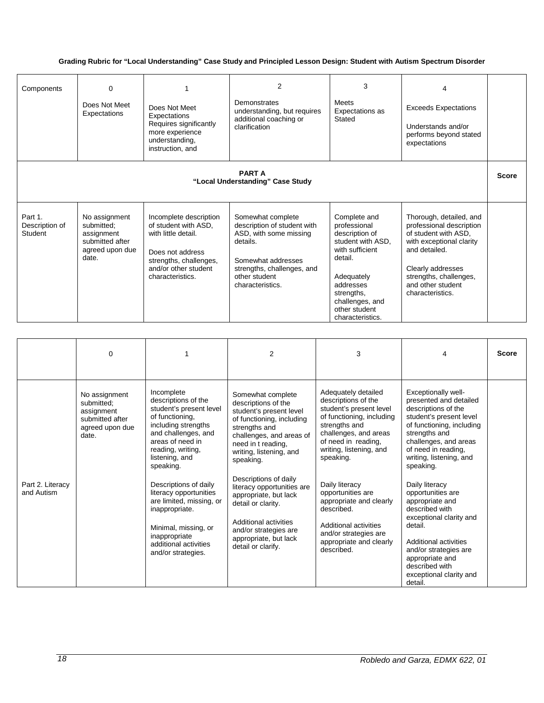### **Grading Rubric for "Local Understanding" Case Study and Principled Lesson Design: Student with Autism Spectrum Disorder**

| Components                                        | $\Omega$<br>Does Not Meet<br>Expectations                                                | Does Not Meet<br>Expectations<br>Requires significantly<br>more experience<br>understanding,<br>instruction, and                                                | $\overline{2}$<br><b>Demonstrates</b><br>understanding, but requires<br>additional coaching or<br>clarification                                                                 | 3<br>Meets<br>Expectations as<br>Stated                                                                                                                                                            | 4<br><b>Exceeds Expectations</b><br>Understands and/or<br>performs beyond stated<br>expectations                                                                                                                 |              |
|---------------------------------------------------|------------------------------------------------------------------------------------------|-----------------------------------------------------------------------------------------------------------------------------------------------------------------|---------------------------------------------------------------------------------------------------------------------------------------------------------------------------------|----------------------------------------------------------------------------------------------------------------------------------------------------------------------------------------------------|------------------------------------------------------------------------------------------------------------------------------------------------------------------------------------------------------------------|--------------|
| <b>PART A</b><br>"Local Understanding" Case Study |                                                                                          |                                                                                                                                                                 |                                                                                                                                                                                 |                                                                                                                                                                                                    |                                                                                                                                                                                                                  | <b>Score</b> |
| Part 1.<br>Description of<br>Student              | No assignment<br>submitted:<br>assignment<br>submitted after<br>agreed upon due<br>date. | Incomplete description<br>of student with ASD,<br>with little detail.<br>Does not address<br>strengths, challenges,<br>and/or other student<br>characteristics. | Somewhat complete<br>description of student with<br>ASD, with some missing<br>details.<br>Somewhat addresses<br>strengths, challenges, and<br>other student<br>characteristics. | Complete and<br>professional<br>description of<br>student with ASD.<br>with sufficient<br>detail.<br>Adequately<br>addresses<br>strengths,<br>challenges, and<br>other student<br>characteristics. | Thorough, detailed, and<br>professional description<br>of student with ASD.<br>with exceptional clarity<br>and detailed.<br>Clearly addresses<br>strengths, challenges,<br>and other student<br>characteristics. |              |

|                                | $\Omega$                                                                                 |                                                                                                                                                                                                                                                                                                                                                                                                | 2                                                                                                                                                                                                                                                                                                                                                                                                                  | 3                                                                                                                                                                                                                                                                                                                                                                                      | 4                                                                                                                                                                                                                                                                                                                                                                                                                                                                                    | <b>Score</b> |
|--------------------------------|------------------------------------------------------------------------------------------|------------------------------------------------------------------------------------------------------------------------------------------------------------------------------------------------------------------------------------------------------------------------------------------------------------------------------------------------------------------------------------------------|--------------------------------------------------------------------------------------------------------------------------------------------------------------------------------------------------------------------------------------------------------------------------------------------------------------------------------------------------------------------------------------------------------------------|----------------------------------------------------------------------------------------------------------------------------------------------------------------------------------------------------------------------------------------------------------------------------------------------------------------------------------------------------------------------------------------|--------------------------------------------------------------------------------------------------------------------------------------------------------------------------------------------------------------------------------------------------------------------------------------------------------------------------------------------------------------------------------------------------------------------------------------------------------------------------------------|--------------|
| Part 2. Literacy<br>and Autism | No assignment<br>submitted;<br>assignment<br>submitted after<br>agreed upon due<br>date. | Incomplete<br>descriptions of the<br>student's present level<br>of functioning,<br>including strengths<br>and challenges, and<br>areas of need in<br>reading, writing,<br>listening, and<br>speaking.<br>Descriptions of daily<br>literacy opportunities<br>are limited, missing, or<br>inappropriate.<br>Minimal, missing, or<br>inappropriate<br>additional activities<br>and/or strategies. | Somewhat complete<br>descriptions of the<br>student's present level<br>of functioning, including<br>strengths and<br>challenges, and areas of<br>need in t reading,<br>writing, listening, and<br>speaking.<br>Descriptions of daily<br>literacy opportunities are<br>appropriate, but lack<br>detail or clarity.<br>Additional activities<br>and/or strategies are<br>appropriate, but lack<br>detail or clarify. | Adequately detailed<br>descriptions of the<br>student's present level<br>of functioning, including<br>strengths and<br>challenges, and areas<br>of need in reading,<br>writing, listening, and<br>speaking.<br>Daily literacy<br>opportunities are<br>appropriate and clearly<br>described.<br>Additional activities<br>and/or strategies are<br>appropriate and clearly<br>described. | Exceptionally well-<br>presented and detailed<br>descriptions of the<br>student's present level<br>of functioning, including<br>strengths and<br>challenges, and areas<br>of need in reading,<br>writing, listening, and<br>speaking.<br>Daily literacy<br>opportunities are<br>appropriate and<br>described with<br>exceptional clarity and<br>detail.<br>Additional activities<br>and/or strategies are<br>appropriate and<br>described with<br>exceptional clarity and<br>detail. |              |